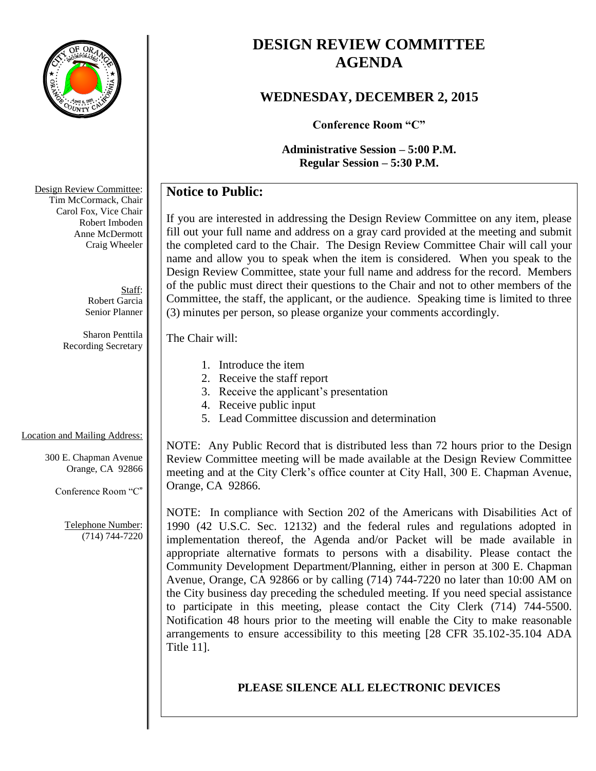

# **DESIGN REVIEW COMMITTEE AGENDA**

### **WEDNESDAY, DECEMBER 2, 2015**

**Conference Room "C"**

**Administrative Session – 5:00 P.M. Regular Session – 5:30 P.M.**

## **Notice to Public:**

If you are interested in addressing the Design Review Committee on any item, please fill out your full name and address on a gray card provided at the meeting and submit the completed card to the Chair. The Design Review Committee Chair will call your name and allow you to speak when the item is considered. When you speak to the Design Review Committee, state your full name and address for the record. Members of the public must direct their questions to the Chair and not to other members of the Committee, the staff, the applicant, or the audience. Speaking time is limited to three (3) minutes per person, so please organize your comments accordingly.

#### The Chair will:

- 1. Introduce the item
- 2. Receive the staff report
- 3. Receive the applicant's presentation
- 4. Receive public input
- 5. Lead Committee discussion and determination

### Location and Mailing Address:

300 E. Chapman Avenue Orange, CA 92866

Conference Room "C"

Telephone Number: (714) 744-7220

NOTE: Any Public Record that is distributed less than 72 hours prior to the Design Review Committee meeting will be made available at the Design Review Committee meeting and at the City Clerk's office counter at City Hall, 300 E. Chapman Avenue, Orange, CA 92866.

NOTE: In compliance with Section 202 of the Americans with Disabilities Act of 1990 (42 U.S.C. Sec. 12132) and the federal rules and regulations adopted in implementation thereof, the Agenda and/or Packet will be made available in appropriate alternative formats to persons with a disability. Please contact the Community Development Department/Planning, either in person at 300 E. Chapman Avenue, Orange, CA 92866 or by calling (714) 744-7220 no later than 10:00 AM on the City business day preceding the scheduled meeting. If you need special assistance to participate in this meeting, please contact the City Clerk (714) 744-5500. Notification 48 hours prior to the meeting will enable the City to make reasonable arrangements to ensure accessibility to this meeting [28 CFR 35.102-35.104 ADA Title 11].

### **PLEASE SILENCE ALL ELECTRONIC DEVICES**

Design Review Committee: Tim McCormack, Chair Carol Fox, Vice Chair Robert Imboden Anne McDermott Craig Wheeler

> Staff: Robert Garcia Senior Planner

Sharon Penttila Recording Secretary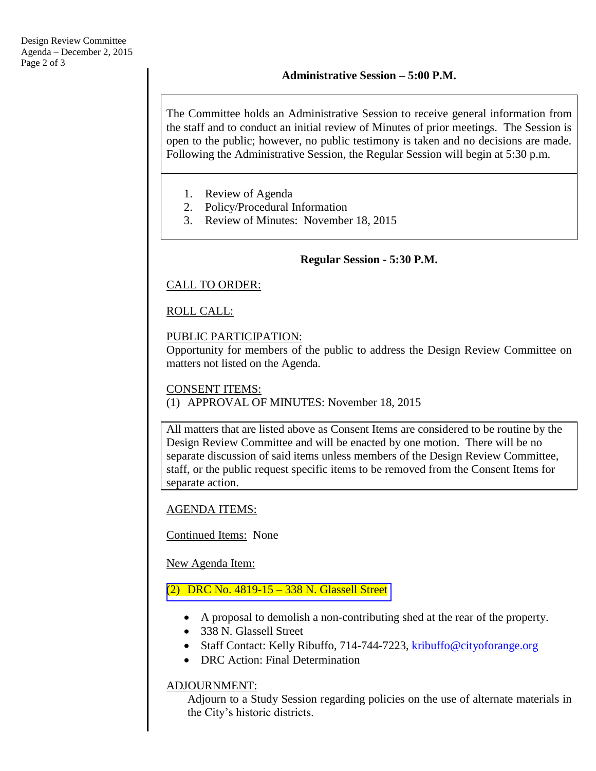The Committee holds an Administrative Session to receive general information from the staff and to conduct an initial review of Minutes of prior meetings. The Session is open to the public; however, no public testimony is taken and no decisions are made. Following the Administrative Session, the Regular Session will begin at 5:30 p.m.

- 1. Review of Agenda
- 2. Policy/Procedural Information
- 3. Review of Minutes: November 18, 2015

#### **Regular Session - 5:30 P.M.**

#### CALL TO ORDER:

### ROLL CALL:

#### PUBLIC PARTICIPATION:

Opportunity for members of the public to address the Design Review Committee on matters not listed on the Agenda.

#### CONSENT ITEMS:

(1) APPROVAL OF MINUTES: November 18, 2015

All matters that are listed above as Consent Items are considered to be routine by the Design Review Committee and will be enacted by one motion. There will be no separate discussion of said items unless members of the Design Review Committee, staff, or the public request specific items to be removed from the Consent Items for separate action.

#### AGENDA ITEMS:

Continued Items: None

New Agenda Item:

#### (2) DRC No. 4819-15 – [338 N. Glassell Street](http://www.cityoforange.org/civicax/filebank/blobdload.aspx?BlobID=16898)

- A proposal to demolish a non-contributing shed at the rear of the property.
- 338 N. Glassell Street
- Staff Contact: Kelly Ribuffo, 714-744-7223, [kribuffo@cityoforange.org](mailto:kribuffo@cityoforange.org)
- DRC Action: Final Determination

#### ADJOURNMENT:

Adjourn to a Study Session regarding policies on the use of alternate materials in the City's historic districts.